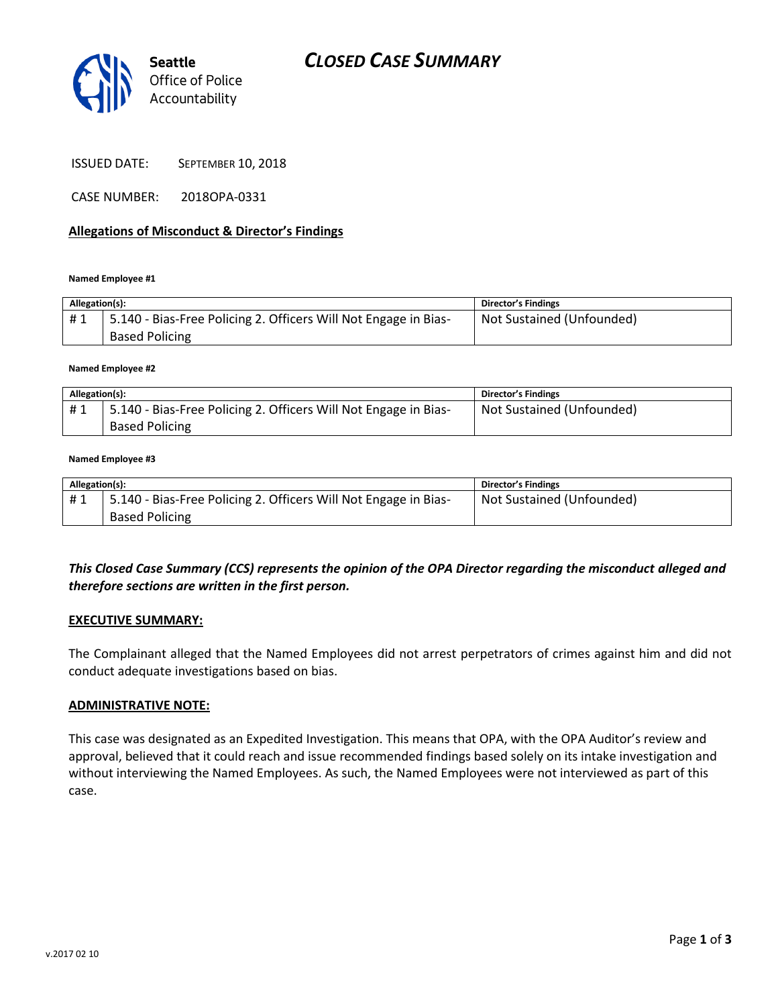

ISSUED DATE: SEPTEMBER 10, 2018

CASE NUMBER: 2018OPA-0331

## **Allegations of Misconduct & Director's Findings**

#### **Named Employee #1**

| Allegation(s): |                                                                                          | <b>Director's Findings</b> |
|----------------|------------------------------------------------------------------------------------------|----------------------------|
| #1             | 5.140 - Bias-Free Policing 2. Officers Will Not Engage in Bias-<br><b>Based Policing</b> | Not Sustained (Unfounded)  |

#### **Named Employee #2**

| Allegation(s): |                                                                 | <b>Director's Findings</b> |
|----------------|-----------------------------------------------------------------|----------------------------|
| #1             | 5.140 - Bias-Free Policing 2. Officers Will Not Engage in Bias- | Not Sustained (Unfounded)  |
|                | <b>Based Policing</b>                                           |                            |

#### **Named Employee #3**

| Allegation(s): |                                                                 | <b>Director's Findings</b> |
|----------------|-----------------------------------------------------------------|----------------------------|
| #1             | 5.140 - Bias-Free Policing 2. Officers Will Not Engage in Bias- | Not Sustained (Unfounded)  |
|                | <b>Based Policing</b>                                           |                            |

# *This Closed Case Summary (CCS) represents the opinion of the OPA Director regarding the misconduct alleged and therefore sections are written in the first person.*

### **EXECUTIVE SUMMARY:**

The Complainant alleged that the Named Employees did not arrest perpetrators of crimes against him and did not conduct adequate investigations based on bias.

## **ADMINISTRATIVE NOTE:**

This case was designated as an Expedited Investigation. This means that OPA, with the OPA Auditor's review and approval, believed that it could reach and issue recommended findings based solely on its intake investigation and without interviewing the Named Employees. As such, the Named Employees were not interviewed as part of this case.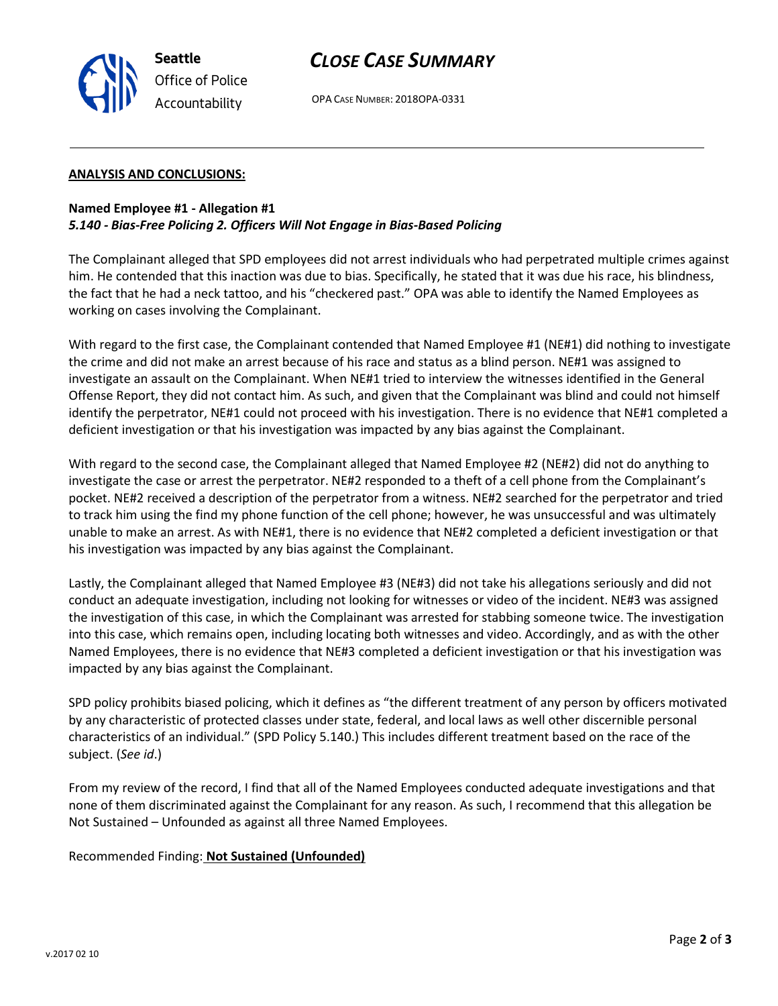

OPA CASE NUMBER: 2018OPA-0331

## **ANALYSIS AND CONCLUSIONS:**

**Seattle**

*Office of Police Accountability*

# **Named Employee #1 - Allegation #1** *5.140 - Bias-Free Policing 2. Officers Will Not Engage in Bias-Based Policing*

The Complainant alleged that SPD employees did not arrest individuals who had perpetrated multiple crimes against him. He contended that this inaction was due to bias. Specifically, he stated that it was due his race, his blindness, the fact that he had a neck tattoo, and his "checkered past." OPA was able to identify the Named Employees as working on cases involving the Complainant.

With regard to the first case, the Complainant contended that Named Employee #1 (NE#1) did nothing to investigate the crime and did not make an arrest because of his race and status as a blind person. NE#1 was assigned to investigate an assault on the Complainant. When NE#1 tried to interview the witnesses identified in the General Offense Report, they did not contact him. As such, and given that the Complainant was blind and could not himself identify the perpetrator, NE#1 could not proceed with his investigation. There is no evidence that NE#1 completed a deficient investigation or that his investigation was impacted by any bias against the Complainant.

With regard to the second case, the Complainant alleged that Named Employee #2 (NE#2) did not do anything to investigate the case or arrest the perpetrator. NE#2 responded to a theft of a cell phone from the Complainant's pocket. NE#2 received a description of the perpetrator from a witness. NE#2 searched for the perpetrator and tried to track him using the find my phone function of the cell phone; however, he was unsuccessful and was ultimately unable to make an arrest. As with NE#1, there is no evidence that NE#2 completed a deficient investigation or that his investigation was impacted by any bias against the Complainant.

Lastly, the Complainant alleged that Named Employee #3 (NE#3) did not take his allegations seriously and did not conduct an adequate investigation, including not looking for witnesses or video of the incident. NE#3 was assigned the investigation of this case, in which the Complainant was arrested for stabbing someone twice. The investigation into this case, which remains open, including locating both witnesses and video. Accordingly, and as with the other Named Employees, there is no evidence that NE#3 completed a deficient investigation or that his investigation was impacted by any bias against the Complainant.

SPD policy prohibits biased policing, which it defines as "the different treatment of any person by officers motivated by any characteristic of protected classes under state, federal, and local laws as well other discernible personal characteristics of an individual." (SPD Policy 5.140.) This includes different treatment based on the race of the subject. (*See id*.)

From my review of the record, I find that all of the Named Employees conducted adequate investigations and that none of them discriminated against the Complainant for any reason. As such, I recommend that this allegation be Not Sustained – Unfounded as against all three Named Employees.

Recommended Finding: **Not Sustained (Unfounded)**